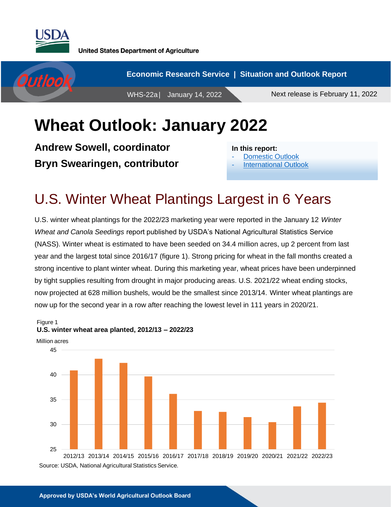

Figure 1



## **Wheat Outlook: January 2022**

**Andrew Sowell, coordinator Bryn Swearingen, contributor**

**In this report:**

- [Domestic Outlook](#page-1-0)
- International Outlook

## U.S. Winter Wheat Plantings Largest in 6 Years

U.S. winter wheat plantings for the 2022/23 marketing year were reported in the January 12 *Winter Wheat and Canola Seedings* report published by USDA's National Agricultural Statistics Service (NASS). Winter wheat is estimated to have been seeded on 34.4 million acres, up 2 percent from last year and the largest total since 2016/17 (figure 1). Strong pricing for wheat in the fall months created a strong incentive to plant winter wheat. During this marketing year, wheat prices have been underpinned by tight supplies resulting from drought in major producing areas. U.S. 2021/22 wheat ending stocks, now projected at 628 million bushels, would be the smallest since 2013/14. Winter wheat plantings are now up for the second year in a row after reaching the lowest level in 111 years in 2020/21.



**U.S. winter wheat area planted, 2012/13 – 2022/23**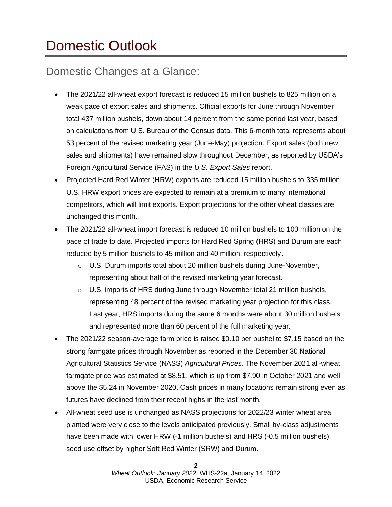# <span id="page-1-0"></span>Domestic Outlook

### Domestic Changes at a Glance:

- The 2021/22 all-wheat export forecast is reduced 15 million bushels to 825 million on a weak pace of export sales and shipments. Official exports for June through November total 437 million bushels, down about 14 percent from the same period last year, based on calculations from U.S. Bureau of the Census data. This 6-month total represents about 53 percent of the revised marketing year (June-May) projection. Export sales (both new sales and shipments) have remained slow throughout December, as reported by USDA's Foreign Agricultural Service (FAS) in the *U.S. Export Sales* report.
- Projected Hard Red Winter (HRW) exports are reduced 15 million bushels to 335 million. U.S. HRW export prices are expected to remain at a premium to many international competitors, which will limit exports. Export projections for the other wheat classes are unchanged this month.
- The 2021/22 all-wheat import forecast is reduced 10 million bushels to 100 million on the pace of trade to date. Projected imports for Hard Red Spring (HRS) and Durum are each reduced by 5 million bushels to 45 million and 40 million, respectively.
	- $\circ$  U.S. Durum imports total about 20 million bushels during June-November, representing about half of the revised marketing year forecast.
	- $\circ$  U.S. imports of HRS during June through November total 21 million bushels, representing 48 percent of the revised marketing year projection for this class. Last year, HRS imports during the same 6 months were about 30 million bushels and represented more than 60 percent of the full marketing year.
- The 2021/22 season-average farm price is raised \$0.10 per bushel to \$7.15 based on the strong farmgate prices through November as reported in the December 30 National Agricultural Statistics Service (NASS) *Agricultural Prices*. The November 2021 all-wheat farmgate price was estimated at \$8.51, which is up from \$7.90 in October 2021 and well above the \$5.24 in November 2020. Cash prices in many locations remain strong even as futures have declined from their recent highs in the last month.
- All-wheat seed use is unchanged as NASS projections for 2022/23 winter wheat area planted were very close to the levels anticipated previously. Small by-class adjustments have been made with lower HRW (-1 million bushels) and HRS (-0.5 million bushels) seed use offset by higher Soft Red Winter (SRW) and Durum.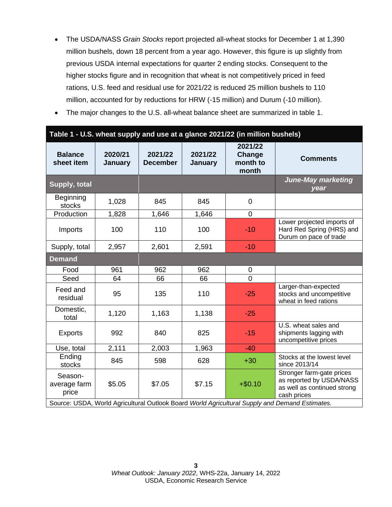- The USDA/NASS *Grain Stocks* report projected all-wheat stocks for December 1 at 1,390 million bushels, down 18 percent from a year ago. However, this figure is up slightly from previous USDA internal expectations for quarter 2 ending stocks. Consequent to the higher stocks figure and in recognition that wheat is not competitively priced in feed rations, U.S. feed and residual use for 2021/22 is reduced 25 million bushels to 110 million, accounted for by reductions for HRW (-15 million) and Durum (-10 million).
- The major changes to the U.S. all-wheat balance sheet are summarized in table 1.

| Table 1 - U.S. wheat supply and use at a glance 2021/22 (in million bushels)                   |                    |                            |                    |                                        |                                                                                                     |  |  |  |  |
|------------------------------------------------------------------------------------------------|--------------------|----------------------------|--------------------|----------------------------------------|-----------------------------------------------------------------------------------------------------|--|--|--|--|
| <b>Balance</b><br>sheet item                                                                   | 2020/21<br>January | 2021/22<br><b>December</b> | 2021/22<br>January | 2021/22<br>Change<br>month to<br>month | <b>Comments</b>                                                                                     |  |  |  |  |
| Supply, total                                                                                  |                    |                            |                    |                                        | <b>June-May marketing</b><br>year                                                                   |  |  |  |  |
| <b>Beginning</b><br>stocks                                                                     | 1,028              | 845                        | 845                | $\overline{0}$                         |                                                                                                     |  |  |  |  |
| Production                                                                                     | 1,828              | 1,646                      | 1,646              | $\mathbf 0$                            |                                                                                                     |  |  |  |  |
| Imports                                                                                        | 100                | 110                        | 100                | $-10$                                  | Lower projected imports of<br>Hard Red Spring (HRS) and<br>Durum on pace of trade                   |  |  |  |  |
| Supply, total                                                                                  | 2,957              | 2,601                      | 2,591              | $-10$                                  |                                                                                                     |  |  |  |  |
| <b>Demand</b>                                                                                  |                    |                            |                    |                                        |                                                                                                     |  |  |  |  |
| Food                                                                                           | 961                | 962                        | 962                | $\mathbf 0$                            |                                                                                                     |  |  |  |  |
| Seed                                                                                           | 64                 | 66                         | 66                 | $\overline{0}$                         |                                                                                                     |  |  |  |  |
| Feed and<br>residual                                                                           | 95                 | 135                        | 110                | $-25$                                  | Larger-than-expected<br>stocks and uncompetitive<br>wheat in feed rations                           |  |  |  |  |
| Domestic,<br>total                                                                             | 1,120              | 1,163                      | 1,138              | $-25$                                  |                                                                                                     |  |  |  |  |
| <b>Exports</b>                                                                                 | 992                | 840                        | 825                | $-15$                                  | U.S. wheat sales and<br>shipments lagging with<br>uncompetitive prices                              |  |  |  |  |
| Use, total                                                                                     | 2,111              | 2,003                      | 1,963              | $-40$                                  |                                                                                                     |  |  |  |  |
| Ending<br>stocks                                                                               | 845                | 598                        | 628                | $+30$                                  | Stocks at the lowest level<br>since 2013/14                                                         |  |  |  |  |
| Season-<br>average farm<br>price                                                               | \$5.05             | \$7.05                     | \$7.15             | $+ $0.10$                              | Stronger farm-gate prices<br>as reported by USDA/NASS<br>as well as continued strong<br>cash prices |  |  |  |  |
| Source: USDA, World Agricultural Outlook Board World Agricultural Supply and Demand Estimates. |                    |                            |                    |                                        |                                                                                                     |  |  |  |  |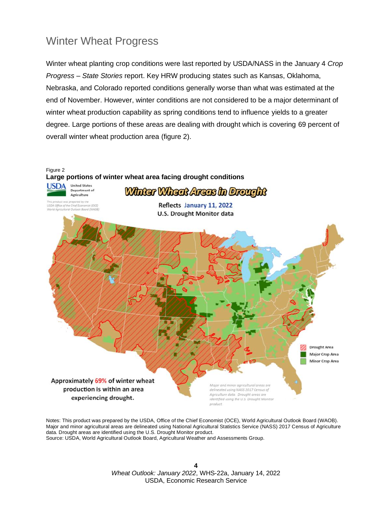### Winter Wheat Progress

Winter wheat planting crop conditions were last reported by USDA/NASS in the January 4 *Crop Progress – State Stories* report. Key HRW producing states such as Kansas, Oklahoma, Nebraska, and Colorado reported conditions generally worse than what was estimated at the end of November. However, winter conditions are not considered to be a major determinant of winter wheat production capability as spring conditions tend to influence yields to a greater degree. Large portions of these areas are dealing with drought which is covering 69 percent of overall winter wheat production area (figure 2).



Notes: This product was prepared by the USDA, Office of the Chief Economist (OCE), World Agricultural Outlook Board (WAOB). Major and minor agricultural areas are delineated using National Agricultural Statistics Service (NASS) 2017 Census of Agriculture data. Drought areas are identified using the U.S. Drought Monitor product. Source: USDA, World Agricultural Outlook Board, Agricultural Weather and Assessments Group.

> **4** *Wheat Outlook: January 2022*, WHS-22a, January 14, 2022 USDA, Economic Research Service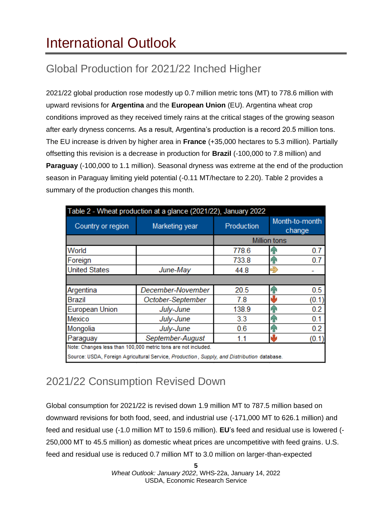# International Outlook

## Global Production for 2021/22 Inched Higher

2021/22 global production rose modestly up 0.7 million metric tons (MT) to 778.6 million with upward revisions for **Argentina** and the **European Union** (EU). Argentina wheat crop conditions improved as they received timely rains at the critical stages of the growing season after early dryness concerns. As a result, Argentina's production is a record 20.5 million tons. The EU increase is driven by higher area in **France** (+35,000 hectares to 5.3 million). Partially offsetting this revision is a decrease in production for **Brazil** (-100,000 to 7.8 million) and **Paraguay** (-100,000 to 1.1 million). Seasonal dryness was extreme at the end of the production season in Paraguay limiting yield potential (-0.11 MT/hectare to 2.20). Table 2 provides a summary of the production changes this month.

| Table 2 - Wheat production at a glance (2021/22), January 2022 |                                                                                            |                     |                          |  |  |  |  |  |
|----------------------------------------------------------------|--------------------------------------------------------------------------------------------|---------------------|--------------------------|--|--|--|--|--|
| Country or region                                              | Marketing year                                                                             | Production          | Month-to-month<br>change |  |  |  |  |  |
|                                                                |                                                                                            | <b>Million tons</b> |                          |  |  |  |  |  |
| World                                                          |                                                                                            | 778.6               | 0.7<br>qг                |  |  |  |  |  |
| Foreign                                                        |                                                                                            | 733.8               | 0.7<br>ЙN                |  |  |  |  |  |
| <b>United States</b>                                           | June-May                                                                                   | 44.8                |                          |  |  |  |  |  |
|                                                                |                                                                                            |                     |                          |  |  |  |  |  |
| Argentina                                                      | December-November                                                                          | 20.5                | 0.5<br>Яñ                |  |  |  |  |  |
| Brazil                                                         | October-September                                                                          | 7.8                 | (0.1)                    |  |  |  |  |  |
| <b>European Union</b>                                          | July-June                                                                                  | 138.9               | 0.2<br>ብ                 |  |  |  |  |  |
| <b>Mexico</b>                                                  | July-June                                                                                  | 3.3                 | 0.1<br>۹Ν                |  |  |  |  |  |
| Mongolia                                                       | July-June                                                                                  | 0.6                 | 0.2<br>ЯP                |  |  |  |  |  |
| Paraguay                                                       | September-August                                                                           | 1.1                 | (0.1)                    |  |  |  |  |  |
|                                                                | Note: Changes less than 100,000 metric tons are not included.                              |                     |                          |  |  |  |  |  |
|                                                                | Source: USDA, Foreign Agricultural Service, Production, Supply, and Distribution database. |                     |                          |  |  |  |  |  |

### 2021/22 Consumption Revised Down

Global consumption for 2021/22 is revised down 1.9 million MT to 787.5 million based on downward revisions for both food, seed, and industrial use (-171,000 MT to 626.1 million) and feed and residual use (-1.0 million MT to 159.6 million). **EU**'s feed and residual use is lowered (- 250,000 MT to 45.5 million) as domestic wheat prices are uncompetitive with feed grains. U.S. feed and residual use is reduced 0.7 million MT to 3.0 million on larger-than-expected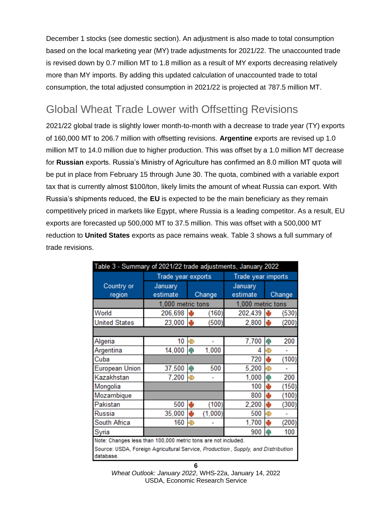December 1 stocks (see domestic section). An adjustment is also made to total consumption based on the local marketing year (MY) trade adjustments for 2021/22. The unaccounted trade is revised down by 0.7 million MT to 1.8 million as a result of MY exports decreasing relatively more than MY imports. By adding this updated calculation of unaccounted trade to total consumption, the total adjusted consumption in 2021/22 is projected at 787.5 million MT.

## Global Wheat Trade Lower with Offsetting Revisions

2021/22 global trade is slightly lower month-to-month with a decrease to trade year (TY) exports of 160,000 MT to 206.7 million with offsetting revisions. **Argentine** exports are revised up 1.0 million MT to 14.0 million due to higher production. This was offset by a 1.0 million MT decrease for **Russian** exports. Russia's Ministry of Agriculture has confirmed an 8.0 million MT quota will be put in place from February 15 through June 30. The quota, combined with a variable export tax that is currently almost \$100/ton, likely limits the amount of wheat Russia can export. With Russia's shipments reduced, the **EU** is expected to be the main beneficiary as they remain competitively priced in markets like Egypt, where Russia is a leading competitor. As a result, EU exports are forecasted up 500,000 MT to 37.5 million. This was offset with a 500,000 MT reduction to **United States** exports as pace remains weak. Table 3 shows a full summary of trade revisions.

| Table 3 - Summary of 2021/22 trade adjustments, January 2022                                  |                     |          |                    |                     |      |        |  |  |  |  |  |
|-----------------------------------------------------------------------------------------------|---------------------|----------|--------------------|---------------------|------|--------|--|--|--|--|--|
|                                                                                               | Trade year exports  |          | Trade year imports |                     |      |        |  |  |  |  |  |
| Country or<br>region                                                                          | January<br>estimate |          | Change             | January<br>estimate |      | Change |  |  |  |  |  |
|                                                                                               | 1,000 metric tons   |          | 1,000 metric tons  |                     |      |        |  |  |  |  |  |
| World                                                                                         | 206,698             | ъU       | (160)              | 202,439             | ۴b   | (530)  |  |  |  |  |  |
| <b>United States</b>                                                                          | 23,000              | <b>N</b> | (500)              | 2,800               | IШ   | (200)  |  |  |  |  |  |
|                                                                                               |                     |          |                    |                     |      |        |  |  |  |  |  |
| Algeria                                                                                       | 10                  | ⊕        |                    | 7,700               | ĥР   | 200    |  |  |  |  |  |
| Argentina                                                                                     | 14,000              | hР       | 1,000              | Δ                   |      |        |  |  |  |  |  |
| Cuba                                                                                          |                     |          |                    | 720                 | ۴b   | (100)  |  |  |  |  |  |
| <b>European Union</b>                                                                         | 37,500              | h        | 500                | 5,200               | ⊕    |        |  |  |  |  |  |
| Kazakhstan                                                                                    | 7,200               | う        |                    | 1,000               | ଳ    | 200    |  |  |  |  |  |
| Mongolia                                                                                      |                     |          |                    | 100                 | والح | (150)  |  |  |  |  |  |
| Mozambique                                                                                    |                     |          |                    | 800                 | وآلح | (100)  |  |  |  |  |  |
| Pakistan                                                                                      | 500                 | ۴b       | (100)              | 2,200               | ۰ŀ   | (300)  |  |  |  |  |  |
| <b>Russia</b>                                                                                 | 35,000              | ۴b       | (1,000)            | 500                 | ⊕    |        |  |  |  |  |  |
| South Africa                                                                                  | 160                 | ⊕        |                    | 1,700               | ৬    | (200)  |  |  |  |  |  |
| Syria                                                                                         |                     |          |                    | 900                 | h    | 100    |  |  |  |  |  |
| Note: Changes less than 100,000 metric tons are not included.                                 |                     |          |                    |                     |      |        |  |  |  |  |  |
| Source: USDA, Foreign Agricultural Service, Production, Supply, and Distribution<br>database. |                     |          |                    |                     |      |        |  |  |  |  |  |

*Wheat Outlook: January 2022*, WHS-22a, January 14, 2022 USDA, Economic Research Service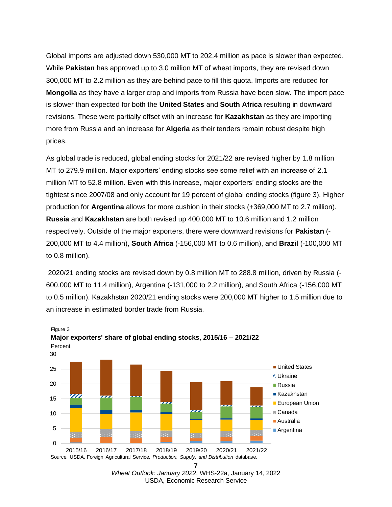Global imports are adjusted down 530,000 MT to 202.4 million as pace is slower than expected. While **Pakistan** has approved up to 3.0 million MT of wheat imports, they are revised down 300,000 MT to 2.2 million as they are behind pace to fill this quota. Imports are reduced for **Mongolia** as they have a larger crop and imports from Russia have been slow. The import pace is slower than expected for both the **United States** and **South Africa** resulting in downward revisions. These were partially offset with an increase for **Kazakhstan** as they are importing more from Russia and an increase for **Algeria** as their tenders remain robust despite high prices.

As global trade is reduced, global ending stocks for 2021/22 are revised higher by 1.8 million MT to 279.9 million. Major exporters' ending stocks see some relief with an increase of 2.1 million MT to 52.8 million. Even with this increase, major exporters' ending stocks are the tightest since 2007/08 and only account for 19 percent of global ending stocks (figure 3). Higher production for **Argentina** allows for more cushion in their stocks (+369,000 MT to 2.7 million). **Russia** and **Kazakhstan** are both revised up 400,000 MT to 10.6 million and 1.2 million respectively. Outside of the major exporters, there were downward revisions for **Pakistan** (- 200,000 MT to 4.4 million), **South Africa** (-156,000 MT to 0.6 million), and **Brazil** (-100,000 MT to 0.8 million).

2020/21 ending stocks are revised down by 0.8 million MT to 288.8 million, driven by Russia (- 600,000 MT to 11.4 million), Argentina (-131,000 to 2.2 million), and South Africa (-156,000 MT to 0.5 million). Kazakhstan 2020/21 ending stocks were 200,000 MT higher to 1.5 million due to an increase in estimated border trade from Russia.



Figure 3 **Major exporters' share of global ending stocks, 2015/16 – 2021/22**

*Wheat Outlook: January 2022*, WHS-22a, January 14, 2022 USDA, Economic Research Service